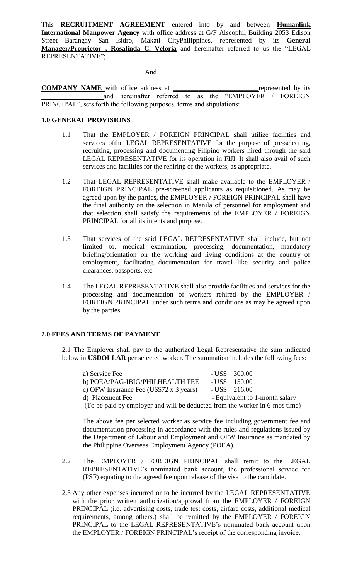This **RECRUITMENT AGREEMENT** entered into by and between **Humanlink International Manpower Agency** with office address at G/F Alscophil Building 2053 Edison Street Barangay San Isidro, Makati CityPhilippines, represented by its **General Manager/Proprietor , Rosalinda C. Veloria** and hereinafter referred to us the "LEGAL REPRESENTATIVE";

And

**COMPANY NAME** with office address at <u>represented</u> by its and hereinafter referred to as the "EMPLOYER / FOREIGN and hereinafter referred to as the PRINCIPAL", sets forth the following purposes, terms and stipulations:

### **1.0 GENERAL PROVISIONS**

- 1.1 That the EMPLOYER / FOREIGN PRINCIPAL shall utilize facilities and services ofthe LEGAL REPRESENTATIVE for the purpose of pre-selecting, recruiting, processing and documenting Filipino workers hired through the said LEGAL REPRESENTATIVE for its operation in FIJI. It shall also avail of such services and facilities for the rehiring of the workers, as appropriate.
- 1.2 That LEGAL REPRESENTATIVE shall make available to the EMPLOYER / FOREIGN PRINCIPAL pre-screened applicants as requisitioned. As may be agreed upon by the parties, the EMPLOYER / FOREIGN PRINCIPAL shall have the final authority on the selection in Manila of personnel for employment and that selection shall satisfy the requirements of the EMPLOYER / FOREIGN PRINCIPAL for all its intents and purpose.
- 1.3 That services of the said LEGAL REPRESENTATIVE shall include, but not limited to, medical examination, processing, documentation, mandatory briefing/orientation on the working and living conditions at the country of employment, facilitating documentation for travel like security and police clearances, passports, etc.
- 1.4 The LEGAL REPRESENTATIVE shall also provide facilities and services for the processing and documentation of workers rehired by the EMPLOYER / FOREIGN PRINCIPAL under such terms and conditions as may be agreed upon by the parties.

### **2.0 FEES AND TERMS OF PAYMENT**

2.1 The Employer shall pay to the authorized Legal Representative the sum indicated below in **USDOLLAR** per selected worker. The summation includes the following fees:

| a) Service Fee                                                              | $-$ US\$ 300.00                |
|-----------------------------------------------------------------------------|--------------------------------|
| b) POEA/PAG-IBIG/PHILHEALTH FEE                                             | $-$ US\$ 150.00                |
| c) OFW Insurance Fee (US\$72 $x$ 3 years)                                   | $-$ US\$ 216.00                |
| d) Placement Fee                                                            | - Equivalent to 1-month salary |
| (To be paid by employer and will be deducted from the worker in 6-mos time) |                                |

The above fee per selected worker as service fee including government fee and documentation processing in accordance with the rules and regulations issued by the Department of Labour and Employment and OFW Insurance as mandated by the Philippine Overseas Employment Agency (POEA).

- 2.2 The EMPLOYER / FOREIGN PRINCIPAL shall remit to the LEGAL REPRESENTATIVE's nominated bank account, the professional service fee (PSF) equating to the agreed fee upon release of the visa to the candidate.
- 2.3 Any other expenses incurred or to be incurred by the LEGAL REPRESENTATIVE with the prior written authorization/approval from the EMPLOYER / FOREIGN PRINCIPAL (i.e. advertising costs, trade test costs, airfare costs, additional medical requirements, among others.) shall be remitted by the EMPLOYER / FOREIGN PRINCIPAL to the LEGAL REPRESENTATIVE's nominated bank account upon the EMPLOYER / FOREIGN PRINCIPAL's receipt of the corresponding invoice.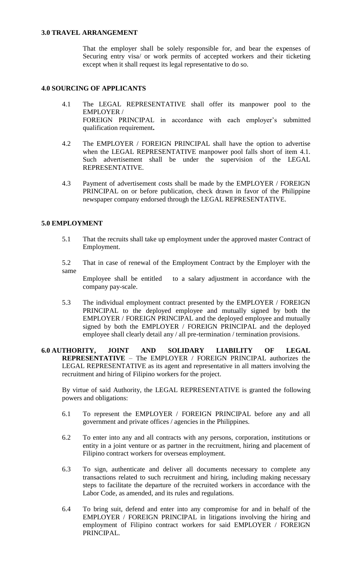### **3.0 TRAVEL ARRANGEMENT**

That the employer shall be solely responsible for, and bear the expenses of Securing entry visa/ or work permits of accepted workers and their ticketing except when it shall request its legal representative to do so.

# **4.0 SOURCING OF APPLICANTS**

- 4.1 The LEGAL REPRESENTATIVE shall offer its manpower pool to the EMPLOYER / FOREIGN PRINCIPAL in accordance with each employer's submitted qualification requirement**.**
- 4.2 The EMPLOYER / FOREIGN PRINCIPAL shall have the option to advertise when the LEGAL REPRESENTATIVE manpower pool falls short of item 4.1. Such advertisement shall be under the supervision of the LEGAL REPRESENTATIVE.
- 4.3 Payment of advertisement costs shall be made by the EMPLOYER / FOREIGN PRINCIPAL on or before publication, check drawn in favor of the Philippine newspaper company endorsed through the LEGAL REPRESENTATIVE.

## **5.0 EMPLOYMENT**

- 5.1 That the recruits shall take up employment under the approved master Contract of Employment.
- 5.2 That in case of renewal of the Employment Contract by the Employer with the same

Employee shall be entitled to a salary adjustment in accordance with the company pay-scale.

- 5.3 The individual employment contract presented by the EMPLOYER / FOREIGN PRINCIPAL to the deployed employee and mutually signed by both the EMPLOYER / FOREIGN PRINCIPAL and the deployed employee and mutually signed by both the EMPLOYER / FOREIGN PRINCIPAL and the deployed employee shall clearly detail any / all pre-termination / termination provisions.
- **6.0 AUTHORITY, JOINT AND SOLIDARY LIABILITY OF LEGAL REPRESENTATIVE** – The EMPLOYER / FOREIGN PRINCIPAL authorizes the LEGAL REPRESENTATIVE as its agent and representative in all matters involving the recruitment and hiring of Filipino workers for the project.

By virtue of said Authority, the LEGAL REPRESENTATIVE is granted the following powers and obligations:

- 6.1 To represent the EMPLOYER / FOREIGN PRINCIPAL before any and all government and private offices / agencies in the Philippines.
- 6.2 To enter into any and all contracts with any persons, corporation, institutions or entity in a joint venture or as partner in the recruitment, hiring and placement of Filipino contract workers for overseas employment.
- 6.3 To sign, authenticate and deliver all documents necessary to complete any transactions related to such recruitment and hiring, including making necessary steps to facilitate the departure of the recruited workers in accordance with the Labor Code, as amended, and its rules and regulations.
- 6.4 To bring suit, defend and enter into any compromise for and in behalf of the EMPLOYER / FOREIGN PRINCIPAL in litigations involving the hiring and employment of Filipino contract workers for said EMPLOYER / FOREIGN PRINCIPAL.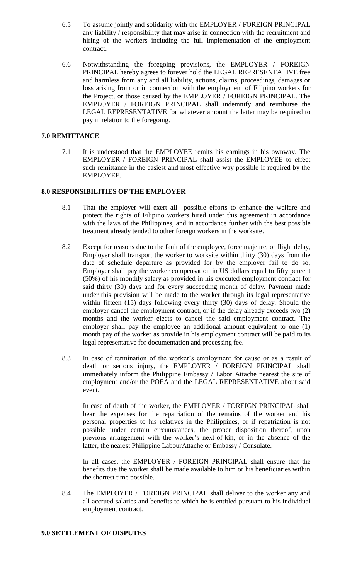- 6.5 To assume jointly and solidarity with the EMPLOYER / FOREIGN PRINCIPAL any liability / responsibility that may arise in connection with the recruitment and hiring of the workers including the full implementation of the employment contract.
- 6.6 Notwithstanding the foregoing provisions, the EMPLOYER / FOREIGN PRINCIPAL hereby agrees to forever hold the LEGAL REPRESENTATIVE free and harmless from any and all liability, actions, claims, proceedings, damages or loss arising from or in connection with the employment of Filipino workers for the Project, or those caused by the EMPLOYER / FOREIGN PRINCIPAL. The EMPLOYER / FOREIGN PRINCIPAL shall indemnify and reimburse the LEGAL REPRESENTATIVE for whatever amount the latter may be required to pay in relation to the foregoing.

# **7.0 REMITTANCE**

7.1 It is understood that the EMPLOYEE remits his earnings in his ownway. The EMPLOYER / FOREIGN PRINCIPAL shall assist the EMPLOYEE to effect such remittance in the easiest and most effective way possible if required by the EMPLOYEE.

# **8.0 RESPONSIBILITIES OF THE EMPLOYER**

- 8.1 That the employer will exert all possible efforts to enhance the welfare and protect the rights of Filipino workers hired under this agreement in accordance with the laws of the Philippines, and in accordance further with the best possible treatment already tended to other foreign workers in the worksite.
- 8.2 Except for reasons due to the fault of the employee, force majeure, or flight delay, Employer shall transport the worker to worksite within thirty (30) days from the date of schedule departure as provided for by the employer fail to do so, Employer shall pay the worker compensation in US dollars equal to fifty percent (50%) of his monthly salary as provided in his executed employment contract for said thirty (30) days and for every succeeding month of delay. Payment made under this provision will be made to the worker through its legal representative within fifteen (15) days following every thirty (30) days of delay. Should the employer cancel the employment contract, or if the delay already exceeds two (2) months and the worker elects to cancel the said employment contract. The employer shall pay the employee an additional amount equivalent to one (1) month pay of the worker as provide in his employment contract will be paid to its legal representative for documentation and processing fee.
- 8.3 In case of termination of the worker's employment for cause or as a result of death or serious injury, the EMPLOYER / FOREIGN PRINCIPAL shall immediately inform the Philippine Embassy / Labor Attache nearest the site of employment and/or the POEA and the LEGAL REPRESENTATIVE about said event.

In case of death of the worker, the EMPLOYER / FOREIGN PRINCIPAL shall bear the expenses for the repatriation of the remains of the worker and his personal properties to his relatives in the Philippines, or if repatriation is not possible under certain circumstances, the proper disposition thereof, upon previous arrangement with the worker's next-of-kin, or in the absence of the latter, the nearest Philippine LabourAttache or Embassy / Consulate.

In all cases, the EMPLOYER / FOREIGN PRINCIPAL shall ensure that the benefits due the worker shall be made available to him or his beneficiaries within the shortest time possible.

8.4 The EMPLOYER / FOREIGN PRINCIPAL shall deliver to the worker any and all accrued salaries and benefits to which he is entitled pursuant to his individual employment contract.

#### **9.0 SETTLEMENT OF DISPUTES**